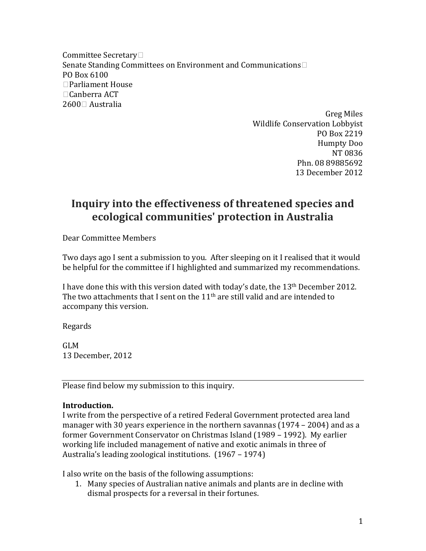Committee Secretary Senate Standing Committees on Environment and Communications PO Box 6100 Parliament House Canberra ACT 2600□ Australia

> Greg Miles Wildlife Conservation Lobbyist PO Box 2219 Humpty Doo NT 0836 Phn. 08 89885692 13 December 2012

# **Inquiry into the effectiveness of threatened species and ecological communities' protection in Australia**

Dear Committee Members

Two days ago I sent a submission to you. After sleeping on it I realised that it would be helpful for the committee if I highlighted and summarized my recommendations.

I have done this with this version dated with today's date, the 13<sup>th</sup> December 2012. The two attachments that I sent on the  $11<sup>th</sup>$  are still valid and are intended to accompany this version.

Regards

GLM 13 December, 2012

Please find below my submission to this inquiry.

## **Introduction.**

I write from the perspective of a retired Federal Government protected area land manager with 30 years experience in the northern savannas (1974 – 2004) and as a former Government Conservator on Christmas Island (1989 – 1992). My earlier working life included management of native and exotic animals in three of Australia's leading zoological institutions. (1967 – 1974)

I also write on the basis of the following assumptions:

1. Many species of Australian native animals and plants are in decline with dismal prospects for a reversal in their fortunes.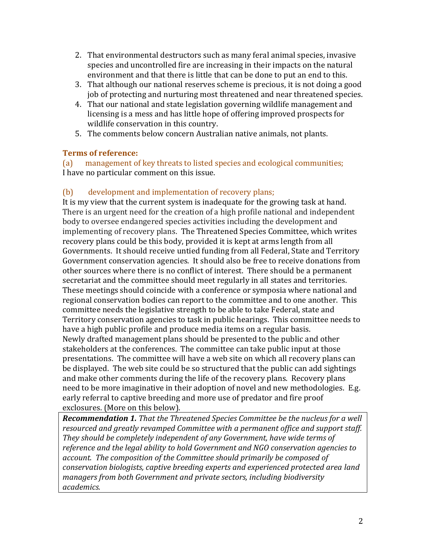- 2. That environmental destructors such as many feral animal species, invasive species and uncontrolled fire are increasing in their impacts on the natural environment and that there is little that can be done to put an end to this.
- 3. That although our national reserves scheme is precious, it is not doing a good job of protecting and nurturing most threatened and near threatened species.
- 4. That our national and state legislation governing wildlife management and licensing is a mess and has little hope of offering improved prospects for wildlife conservation in this country.
- 5. The comments below concern Australian native animals, not plants.

## **Terms of reference:**

(a) management of key threats to listed species and ecological communities; I have no particular comment on this issue.

## (b) development and implementation of recovery plans;

It is my view that the current system is inadequate for the growing task at hand. There is an urgent need for the creation of a high profile national and independent body to oversee endangered species activities including the development and implementing of recovery plans. The Threatened Species Committee, which writes recovery plans could be this body, provided it is kept at arms length from all Governments. It should receive untied funding from all Federal, State and Territory Government conservation agencies. It should also be free to receive donations from other sources where there is no conflict of interest. There should be a permanent secretariat and the committee should meet regularly in all states and territories. These meetings should coincide with a conference or symposia where national and regional conservation bodies can report to the committee and to one another. This committee needs the legislative strength to be able to take Federal, state and Territory conservation agencies to task in public hearings. This committee needs to have a high public profile and produce media items on a regular basis. Newly drafted management plans should be presented to the public and other stakeholders at the conferences. The committee can take public input at those presentations. The committee will have a web site on which all recovery plans can be displayed. The web site could be so structured that the public can add sightings and make other comments during the life of the recovery plans. Recovery plans need to be more imaginative in their adoption of novel and new methodologies. E.g. early referral to captive breeding and more use of predator and fire proof exclosures. (More on this below).

*Recommendation 1. That the Threatened Species Committee be the nucleus for a well resourced and greatly revamped Committee with a permanent office and support staff. They should be completely independent of any Government, have wide terms of reference and the legal ability to hold Government and NGO conservation agencies to account. The composition of the Committee should primarily be composed of conservation biologists, captive breeding experts and experienced protected area land managers from both Government and private sectors, including biodiversity academics.*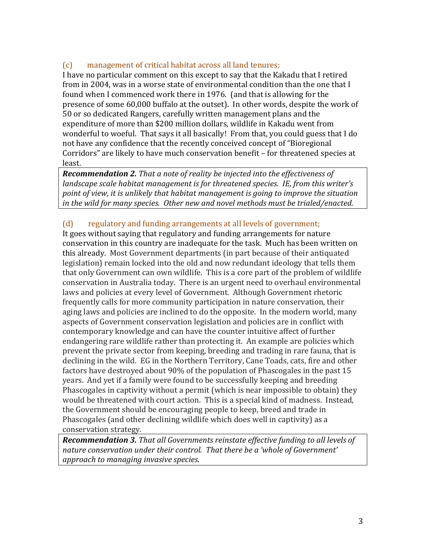## (c) management of critical habitat across all land tenures;

I have no particular comment on this except to say that the Kakadu that I retired from in 2004, was in a worse state of environmental condition than the one that I found when I commenced work there in 1976. (and that is allowing for the presence of some 60,000 buffalo at the outset). In other words, despite the work of 50 or so dedicated Rangers, carefully written management plans and the expenditure of more than \$200 million dollars, wildlife in Kakadu went from wonderful to woeful. That says it all basically! From that, you could guess that I do not have any confidence that the recently conceived concept of "Bioregional Corridors" are likely to have much conservation benefit – for threatened species at least.

*Recommendation 2. That a note of reality be injected into the effectiveness of landscape scale habitat management is for threatened species. IE, from this writer's point of view, it is unlikely that habitat management is going to improve the situation in the wild for many species. Other new and novel methods must be trialed/enacted.*

## (d) regulatory and funding arrangements at all levels of government;

It goes without saying that regulatory and funding arrangements for nature conservation in this country are inadequate for the task. Much has been written on this already. Most Government departments (in part because of their antiquated legislation) remain locked into the old and now redundant ideology that tells them that only Government can own wildlife. This is a core part of the problem of wildlife conservation in Australia today. There is an urgent need to overhaul environmental laws and policies at every level of Government. Although Government rhetoric frequently calls for more community participation in nature conservation, their aging laws and policies are inclined to do the opposite. In the modern world, many aspects of Government conservation legislation and policies are in conflict with contemporary knowledge and can have the counter intuitive affect of further endangering rare wildlife rather than protecting it. An example are policies which prevent the private sector from keeping, breeding and trading in rare fauna, that is declining in the wild. EG in the Northern Territory, Cane Toads, cats, fire and other factors have destroyed about 90% of the population of Phascogales in the past 15 years. And yet if a family were found to be successfully keeping and breeding Phascogales in captivity without a permit (which is near impossible to obtain) they would be threatened with court action. This is a special kind of madness. Instead, the Government should be encouraging people to keep, breed and trade in Phascogales (and other declining wildlife which does well in captivity) as a conservation strategy.

*Recommendation 3. That all Governments reinstate effective funding to all levels of nature conservation under their control. That there be a 'whole of Government' approach to managing invasive species.*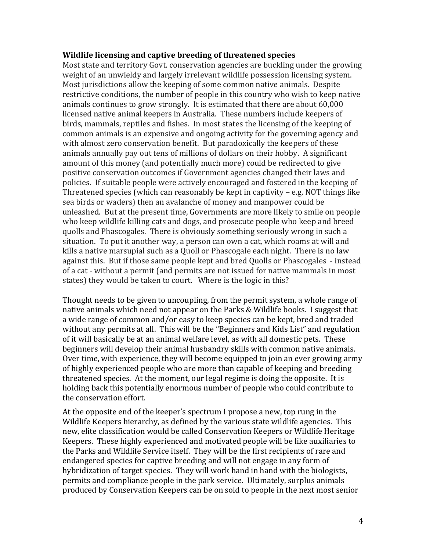#### **Wildlife licensing and captive breeding of threatened species**

Most state and territory Govt. conservation agencies are buckling under the growing weight of an unwieldy and largely irrelevant wildlife possession licensing system. Most jurisdictions allow the keeping of some common native animals. Despite restrictive conditions, the number of people in this country who wish to keep native animals continues to grow strongly. It is estimated that there are about 60,000 licensed native animal keepers in Australia. These numbers include keepers of birds, mammals, reptiles and fishes. In most states the licensing of the keeping of common animals is an expensive and ongoing activity for the governing agency and with almost zero conservation benefit. But paradoxically the keepers of these animals annually pay out tens of millions of dollars on their hobby. A significant amount of this money (and potentially much more) could be redirected to give positive conservation outcomes if Government agencies changed their laws and policies. If suitable people were actively encouraged and fostered in the keeping of Threatened species (which can reasonably be kept in captivity – e.g. NOT things like sea birds or waders) then an avalanche of money and manpower could be unleashed. But at the present time, Governments are more likely to smile on people who keep wildlife killing cats and dogs, and prosecute people who keep and breed quolls and Phascogales. There is obviously something seriously wrong in such a situation. To put it another way, a person can own a cat, which roams at will and kills a native marsupial such as a Quoll or Phascogale each night. There is no law against this. But if those same people kept and bred Quolls or Phascogales - instead of a cat - without a permit (and permits are not issued for native mammals in most states) they would be taken to court. Where is the logic in this?

Thought needs to be given to uncoupling, from the permit system, a whole range of native animals which need not appear on the Parks & Wildlife books. I suggest that a wide range of common and/or easy to keep species can be kept, bred and traded without any permits at all. This will be the "Beginners and Kids List" and regulation of it will basically be at an animal welfare level, as with all domestic pets. These beginners will develop their animal husbandry skills with common native animals. Over time, with experience, they will become equipped to join an ever growing army of highly experienced people who are more than capable of keeping and breeding threatened species. At the moment, our legal regime is doing the opposite. It is holding back this potentially enormous number of people who could contribute to the conservation effort.

At the opposite end of the keeper's spectrum I propose a new, top rung in the Wildlife Keepers hierarchy, as defined by the various state wildlife agencies. This new, elite classification would be called Conservation Keepers or Wildlife Heritage Keepers. These highly experienced and motivated people will be like auxiliaries to the Parks and Wildlife Service itself. They will be the first recipients of rare and endangered species for captive breeding and will not engage in any form of hybridization of target species. They will work hand in hand with the biologists, permits and compliance people in the park service. Ultimately, surplus animals produced by Conservation Keepers can be on sold to people in the next most senior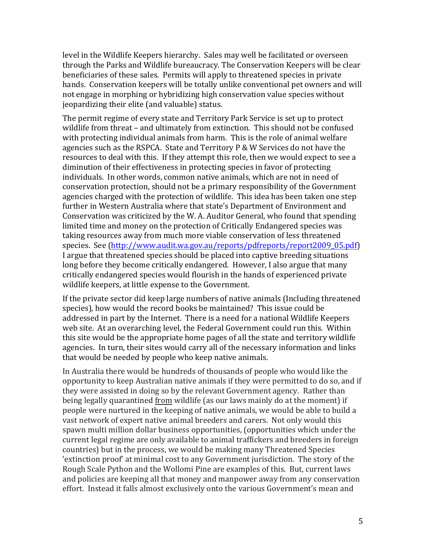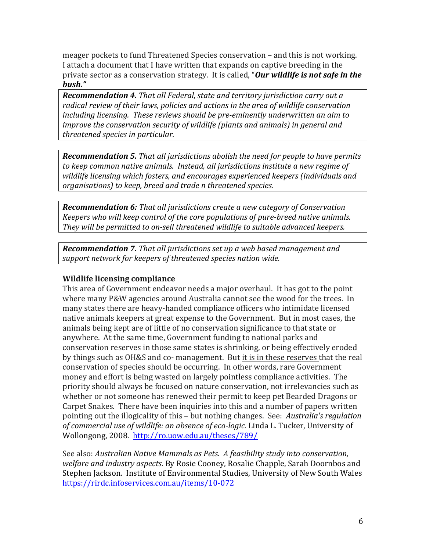| $\mathbf 0$<br>$\mathbb{L}$                             | $\mathsf{I}$<br>$\boldsymbol{\$}$<br>$\,<$<br>,                                                                             | ,<br>, ${\bf 0}$ ,<br>$\sqrt{\phantom{a}}$                                                                                                                                                                                                                                                                                                                                                                     | $\mathbf{r}$<br>$\mathbf I$<br>$\bar{\mathbf{J}}$<br>$\mbox{-}0$ | ,<br>3 C                                                                                                                                                          | $\prec$<br>$\,$                                             |
|---------------------------------------------------------|-----------------------------------------------------------------------------------------------------------------------------|----------------------------------------------------------------------------------------------------------------------------------------------------------------------------------------------------------------------------------------------------------------------------------------------------------------------------------------------------------------------------------------------------------------|------------------------------------------------------------------|-------------------------------------------------------------------------------------------------------------------------------------------------------------------|-------------------------------------------------------------|
|                                                         |                                                                                                                             | V                                                                                                                                                                                                                                                                                                                                                                                                              |                                                                  | ļ                                                                                                                                                                 |                                                             |
|                                                         |                                                                                                                             |                                                                                                                                                                                                                                                                                                                                                                                                                | $\star$                                                          |                                                                                                                                                                   | $\boldsymbol{+}$                                            |
| $\frac{1}{2}$                                           | $\frac{\mathbf{p}}{\mathbf{p}}$                                                                                             | Ţ                                                                                                                                                                                                                                                                                                                                                                                                              | $\mathbf{u}$<br>ļ                                                | $\%$<br>$\star$                                                                                                                                                   |                                                             |
|                                                         |                                                                                                                             |                                                                                                                                                                                                                                                                                                                                                                                                                |                                                                  |                                                                                                                                                                   |                                                             |
| $\,$                                                    | $\%$                                                                                                                        | Ţ                                                                                                                                                                                                                                                                                                                                                                                                              |                                                                  | $\mathcal{E}$                                                                                                                                                     | $\%$                                                        |
|                                                         | % %                                                                                                                         | $\begin{array}{c} \rule{0pt}{2ex} \rule{0pt}{2ex} \rule{0pt}{2ex} \rule{0pt}{2ex} \rule{0pt}{2ex} \rule{0pt}{2ex} \rule{0pt}{2ex} \rule{0pt}{2ex} \rule{0pt}{2ex} \rule{0pt}{2ex} \rule{0pt}{2ex} \rule{0pt}{2ex} \rule{0pt}{2ex} \rule{0pt}{2ex} \rule{0pt}{2ex} \rule{0pt}{2ex} \rule{0pt}{2ex} \rule{0pt}{2ex} \rule{0pt}{2ex} \rule{0pt}{2ex} \rule{0pt}{2ex} \rule{0pt}{2ex} \rule{0pt}{2ex} \rule{0pt}{$ |                                                                  |                                                                                                                                                                   |                                                             |
| $\,$<br>$\hspace{0.1em}/\hspace{0.1em}$ ,<br>$\prime$ , | $\begin{array}{c} \n\text{\$} \\ \n\text{\$} \\ \n\end{array}$<br>$\,$ ,<br>$\overline{\phantom{0}}$<br>T<br>$\overline{a}$ | ${\mathsf G}$ ,<br>$\pmb{\mathrm{y}}$<br>$\boldsymbol{\$}$<br>$\mathbf 3$                                                                                                                                                                                                                                                                                                                                      | $\geq$<br>٠<br>$\mathbb{S}$<br>$\mathfrak{S}$                    | $\mathbf 0$<br>$\pmb{\mathfrak{z}}$<br>,<br>\$<br>$\mathop{\mathsf{S}}\limits^{\mathsf{i}}\mathop{\mathsf{S}}\limits$<br>Ι,<br>$\,$<br>$\boldsymbol{\$}$<br>$\,<$ | $\pmb{\mathfrak{z}}$<br>$\boldsymbol{\mathfrak{Z}}$<br>$\,$ |

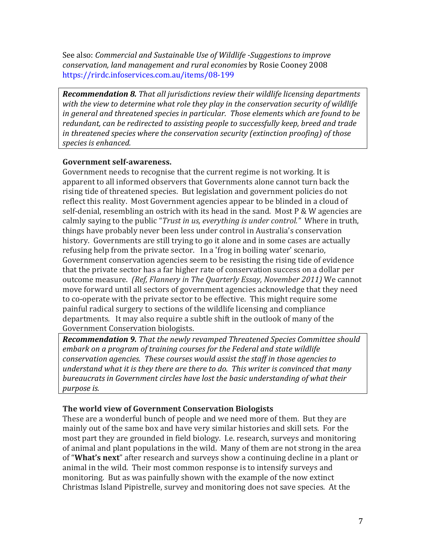See also: *Commercial and Sustainable Use of Wildlife -Suggestions to improve conservation, land management and rural economies* by Rosie Cooney 2008 https://rirdc.infoservices.com.au/items/08-199

*Recommendation 8. That all jurisdictions review their wildlife licensing departments with the view to determine what role they play in the conservation security of wildlife in general and threatened species in particular. Those elements which are found to be redundant, can be redirected to assisting people to successfully keep, breed and trade in threatened species where the conservation security (extinction proofing) of those species is enhanced.*

#### **Government self-awareness.**

Government needs to recognise that the current regime is not working. It is apparent to all informed observers that Governments alone cannot turn back the rising tide of threatened species. But legislation and government policies do not reflect this reality. Most Government agencies appear to be blinded in a cloud of self-denial, resembling an ostrich with its head in the sand. Most P & W agencies are calmly saying to the public "*Trust in us, everything is under control."* Where in truth, things have probably never been less under control in Australia's conservation history. Governments are still trying to go it alone and in some cases are actually refusing help from the private sector. In a 'frog in boiling water' scenario, Government conservation agencies seem to be resisting the rising tide of evidence that the private sector has a far higher rate of conservation success on a dollar per outcome measure. *(Ref, Flannery in The Quarterly Essay, November 2011)* We cannot move forward until all sectors of government agencies acknowledge that they need to co-operate with the private sector to be effective. This might require some painful radical surgery to sections of the wildlife licensing and compliance departments. It may also require a subtle shift in the outlook of many of the Government Conservation biologists.

*Recommendation 9. That the newly revamped Threatened Species Committee should embark on a program of training courses for the Federal and state wildlife conservation agencies. These courses would assist the staff in those agencies to understand what it is they there are there to do. This writer is convinced that many bureaucrats in Government circles have lost the basic understanding of what their purpose is.*

## **The world view of Government Conservation Biologists**

These are a wonderful bunch of people and we need more of them. But they are mainly out of the same box and have very similar histories and skill sets. For the most part they are grounded in field biology. I.e. research, surveys and monitoring of animal and plant populations in the wild. Many of them are not strong in the area of "**What's next**" after research and surveys show a continuing decline in a plant or animal in the wild. Their most common response is to intensify surveys and monitoring. But as was painfully shown with the example of the now extinct Christmas Island Pipistrelle, survey and monitoring does not save species. At the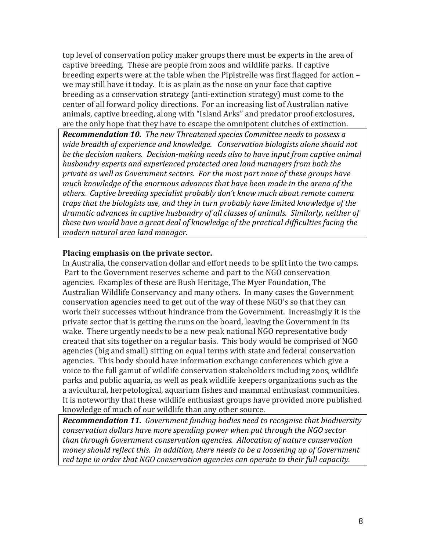top level of conservation policy maker groups there must be experts in the area of captive breeding. These are people from zoos and wildlife parks. If captive breeding experts were at the table when the Pipistrelle was first flagged for action – we may still have it today. It is as plain as the nose on your face that captive breeding as a conservation strategy (anti-extinction strategy) must come to the center of all forward policy directions. For an increasing list of Australian native animals, captive breeding, along with "Island Arks" and predator proof exclosures, are the only hope that they have to escape the omnipotent clutches of extinction.

*Recommendation 10. The new Threatened species Committee needs to possess a wide breadth of experience and knowledge. Conservation biologists alone should not be the decision makers. Decision-making needs also to have input from captive animal husbandry experts and experienced protected area land managers from both the private as well as Government sectors. For the most part none of these groups have much knowledge of the enormous advances that have been made in the arena of the others. Captive breeding specialist probably don't know much about remote camera traps that the biologists use, and they in turn probably have limited knowledge of the dramatic advances in captive husbandry of all classes of animals. Similarly, neither of these two would have a great deal of knowledge of the practical difficulties facing the modern natural area land manager.* 

#### **Placing emphasis on the private sector.**

In Australia, the conservation dollar and effort needs to be split into the two camps. Part to the Government reserves scheme and part to the NGO conservation agencies. Examples of these are Bush Heritage, The Myer Foundation, The Australian Wildlife Conservancy and many others. In many cases the Government conservation agencies need to get out of the way of these NGO's so that they can work their successes without hindrance from the Government. Increasingly it is the private sector that is getting the runs on the board, leaving the Government in its wake. There urgently needs to be a new peak national NGO representative body created that sits together on a regular basis. This body would be comprised of NGO agencies (big and small) sitting on equal terms with state and federal conservation agencies. This body should have information exchange conferences which give a voice to the full gamut of wildlife conservation stakeholders including zoos, wildlife parks and public aquaria, as well as peak wildlife keepers organizations such as the a avicultural, herpetological, aquarium fishes and mammal enthusiast communities. It is noteworthy that these wildlife enthusiast groups have provided more published knowledge of much of our wildlife than any other source.

*Recommendation 11. Government funding bodies need to recognise that biodiversity conservation dollars have more spending power when put through the NGO sector than through Government conservation agencies. Allocation of nature conservation money should reflect this. In addition, there needs to be a loosening up of Government red tape in order that NGO conservation agencies can operate to their full capacity.*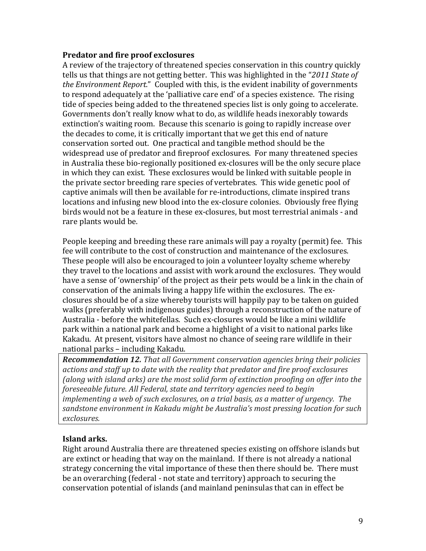#### **Predator and fire proof exclosures**

A review of the trajectory of threatened species conservation in this country quickly tells us that things are not getting better. This was highlighted in the "*2011 State of the Environment Report.*" Coupled with this, is the evident inability of governments to respond adequately at the 'palliative care end' of a species existence. The rising tide of species being added to the threatened species list is only going to accelerate. Governments don't really know what to do, as wildlife heads inexorably towards extinction's waiting room. Because this scenario is going to rapidly increase over the decades to come, it is critically important that we get this end of nature conservation sorted out. One practical and tangible method should be the widespread use of predator and fireproof exclosures. For many threatened species in Australia these bio-regionally positioned ex-closures will be the only secure place in which they can exist. These exclosures would be linked with suitable people in the private sector breeding rare species of vertebrates. This wide genetic pool of captive animals will then be available for re-introductions, climate inspired trans locations and infusing new blood into the ex-closure colonies. Obviously free flying birds would not be a feature in these ex-closures, but most terrestrial animals - and rare plants would be.

People keeping and breeding these rare animals will pay a royalty (permit) fee. This fee will contribute to the cost of construction and maintenance of the exclosures. These people will also be encouraged to join a volunteer loyalty scheme whereby they travel to the locations and assist with work around the exclosures. They would have a sense of 'ownership' of the project as their pets would be a link in the chain of conservation of the animals living a happy life within the exclosures. The exclosures should be of a size whereby tourists will happily pay to be taken on guided walks (preferably with indigenous guides) through a reconstruction of the nature of Australia - before the whitefellas. Such ex-closures would be like a mini wildlife park within a national park and become a highlight of a visit to national parks like Kakadu. At present, visitors have almost no chance of seeing rare wildlife in their national parks – including Kakadu.

*Recommendation 12. That all Government conservation agencies bring their policies actions and staff up to date with the reality that predator and fire proof exclosures (along with island arks) are the most solid form of extinction proofing on offer into the foreseeable future. All Federal, state and territory agencies need to begin implementing a web of such exclosures, on a trial basis, as a matter of urgency. The sandstone environment in Kakadu might be Australia's most pressing location for such exclosures.*

#### **Island arks.**

Right around Australia there are threatened species existing on offshore islands but are extinct or heading that way on the mainland. If there is not already a national strategy concerning the vital importance of these then there should be. There must be an overarching (federal - not state and territory) approach to securing the conservation potential of islands (and mainland peninsulas that can in effect be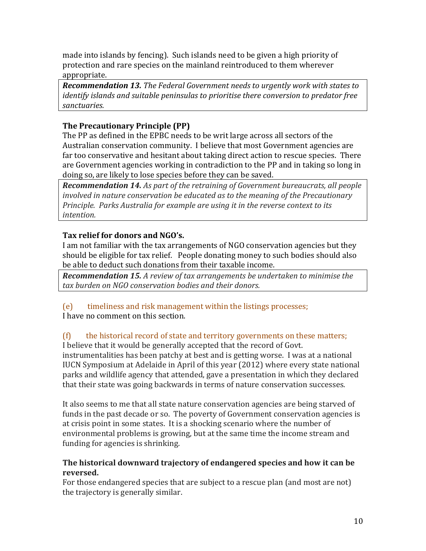made into islands by fencing). Such islands need to be given a high priority of protection and rare species on the mainland reintroduced to them wherever appropriate.

*Recommendation 13. The Federal Government needs to urgently work with states to identify islands and suitable peninsulas to prioritise there conversion to predator free sanctuaries.*

## **The Precautionary Principle (PP)**

The PP as defined in the EPBC needs to be writ large across all sectors of the Australian conservation community. I believe that most Government agencies are far too conservative and hesitant about taking direct action to rescue species. There are Government agencies working in contradiction to the PP and in taking so long in doing so, are likely to lose species before they can be saved.

*Recommendation 14. As part of the retraining of Government bureaucrats, all people involved in nature conservation be educated as to the meaning of the Precautionary Principle. Parks Australia for example are using it in the reverse context to its intention.*

## **Tax relief for donors and NGO's.**

I am not familiar with the tax arrangements of NGO conservation agencies but they should be eligible for tax relief. People donating money to such bodies should also be able to deduct such donations from their taxable income.

*Recommendation 15. A review of tax arrangements be undertaken to minimise the tax burden on NGO conservation bodies and their donors.*

# (e) timeliness and risk management within the listings processes;

I have no comment on this section.

## (f) the historical record of state and territory governments on these matters;

I believe that it would be generally accepted that the record of Govt. instrumentalities has been patchy at best and is getting worse. I was at a national IUCN Symposium at Adelaide in April of this year (2012) where every state national parks and wildlife agency that attended, gave a presentation in which they declared that their state was going backwards in terms of nature conservation successes.

It also seems to me that all state nature conservation agencies are being starved of funds in the past decade or so. The poverty of Government conservation agencies is at crisis point in some states. It is a shocking scenario where the number of environmental problems is growing, but at the same time the income stream and funding for agencies is shrinking.

## **The historical downward trajectory of endangered species and how it can be reversed.**

For those endangered species that are subject to a rescue plan (and most are not) the trajectory is generally similar.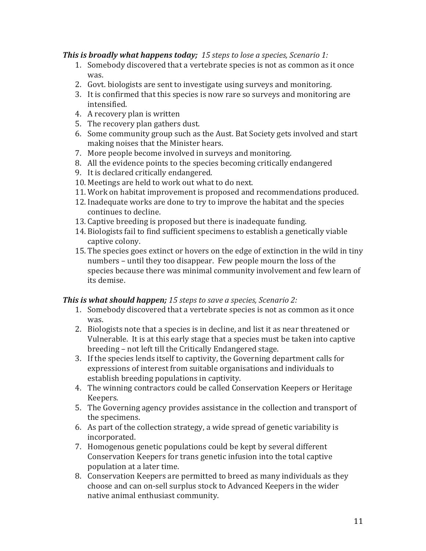#### *This is broadly what happens today; 15 steps to lose a species, Scenario 1:*

- 1. Somebody discovered that a vertebrate species is not as common as it once was.
- 2. Govt. biologists are sent to investigate using surveys and monitoring.
- 3. It is confirmed that this species is now rare so surveys and monitoring are intensified.
- 4. A recovery plan is written
- 5. The recovery plan gathers dust.
- 6. Some community group such as the Aust. Bat Society gets involved and start making noises that the Minister hears.
- 7. More people become involved in surveys and monitoring.
- 8. All the evidence points to the species becoming critically endangered
- 9. It is declared critically endangered.
- 10. Meetings are held to work out what to do next.
- 11. Work on habitat improvement is proposed and recommendations produced.
- 12. Inadequate works are done to try to improve the habitat and the species continues to decline.
- 13. Captive breeding is proposed but there is inadequate funding.
- 14. Biologists fail to find sufficient specimens to establish a genetically viable captive colony.
- 15. The species goes extinct or hovers on the edge of extinction in the wild in tiny numbers – until they too disappear. Few people mourn the loss of the species because there was minimal community involvement and few learn of its demise.

## *This is what should happen; 15 steps to save a species, Scenario 2:*

- 1. Somebody discovered that a vertebrate species is not as common as it once was.
- 2. Biologists note that a species is in decline, and list it as near threatened or Vulnerable. It is at this early stage that a species must be taken into captive breeding – not left till the Critically Endangered stage.
- 3. If the species lends itself to captivity, the Governing department calls for expressions of interest from suitable organisations and individuals to establish breeding populations in captivity.
- 4. The winning contractors could be called Conservation Keepers or Heritage Keepers.
- 5. The Governing agency provides assistance in the collection and transport of the specimens.
- 6. As part of the collection strategy, a wide spread of genetic variability is incorporated.
- 7. Homogenous genetic populations could be kept by several different Conservation Keepers for trans genetic infusion into the total captive population at a later time.
- 8. Conservation Keepers are permitted to breed as many individuals as they choose and can on-sell surplus stock to Advanced Keepers in the wider native animal enthusiast community.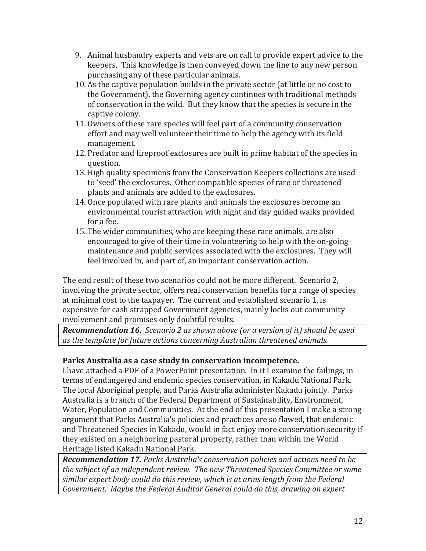- 9. Animal husbandry experts and vets are on call to provide expert advice to the keepers. This knowledge is then conveyed down the line to any new person purchasing any of these particular animals.
- 10. As the captive population builds in the private sector (at little or no cost to the Government), the Governing agency continues with traditional methods of conservation in the wild. But they know that the species is secure in the captive colony.
- 11. Owners of these rare species will feel part of a community conservation effort and may well volunteer their time to help the agency with its field management.
- 12. Predator and fireproof exclosures are built in prime habitat of the species in question.
- 13. High quality specimens from the Conservation Keepers collections are used to 'seed' the exclosures. Other compatible species of rare or threatened plants and animals are added to the exclosures.
- 14. Once populated with rare plants and animals the exclosures become an environmental tourist attraction with night and day guided walks provided for a fee.
- 15. The wider communities, who are keeping these rare animals, are also encouraged to give of their time in volunteering to help with the on-going maintenance and public services associated with the exclosures. They will feel involved in, and part of, an important conservation action.

The end result of these two scenarios could not be more different. Scenario 2, involving the private sector, offers real conservation benefits for a range of species at minimal cost to the taxpayer. The current and established scenario 1, is expensive for cash strapped Government agencies, mainly locks out community involvement and promises only doubtful results.

*Recommendation 16. Scenario 2 as shown above (or a version of it) should be used as the template for future actions concerning Australian threatened animals.*

## **Parks Australia as a case study in conservation incompetence.**

I have attached a PDF of a PowerPoint presentation. In it I examine the failings, in terms of endangered and endemic species conservation, in Kakadu National Park. The local Aboriginal people, and Parks Australia administer Kakadu jointly. Parks Australia is a branch of the Federal Department of Sustainability, Environment, Water, Population and Communities. At the end of this presentation I make a strong argument that Parks Australia's policies and practices are so flawed, that endemic and Threatened Species in Kakadu, would in fact enjoy more conservation security if they existed on a neighboring pastoral property, rather than within the World Heritage listed Kakadu National Park.

*Recommendation 17. Parks Australia's conservation policies and actions need to be the subject of an independent review. The new Threatened Species Committee or some similar expert body could do this review, which is at arms length from the Federal Government. Maybe the Federal Auditor General could do this, drawing on expert*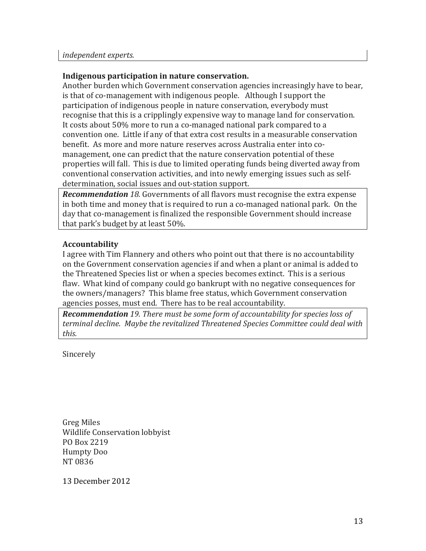#### **Indigenous participation in nature conservation.**

Another burden which Government conservation agencies increasingly have to bear, is that of co-management with indigenous people. Although I support the participation of indigenous people in nature conservation, everybody must recognise that this is a cripplingly expensive way to manage land for conservation. It costs about 50% more to run a co-managed national park compared to a convention one. Little if any of that extra cost results in a measurable conservation benefit. As more and more nature reserves across Australia enter into comanagement, one can predict that the nature conservation potential of these properties will fall. This is due to limited operating funds being diverted away from conventional conservation activities, and into newly emerging issues such as selfdetermination, social issues and out-station support.

*Recommendation 18.* Governments of all flavors must recognise the extra expense in both time and money that is required to run a co-managed national park. On the day that co-management is finalized the responsible Government should increase that park's budget by at least 50%.

#### **Accountability**

I agree with Tim Flannery and others who point out that there is no accountability on the Government conservation agencies if and when a plant or animal is added to the Threatened Species list or when a species becomes extinct. This is a serious flaw. What kind of company could go bankrupt with no negative consequences for the owners/managers? This blame free status, which Government conservation agencies posses, must end. There has to be real accountability.

*Recommendation 19. There must be some form of accountability for species loss of terminal decline. Maybe the revitalized Threatened Species Committee could deal with this.*

Sincerely

Greg Miles Wildlife Conservation lobbyist PO Box 2219 Humpty Doo NT 0836

13 December 2012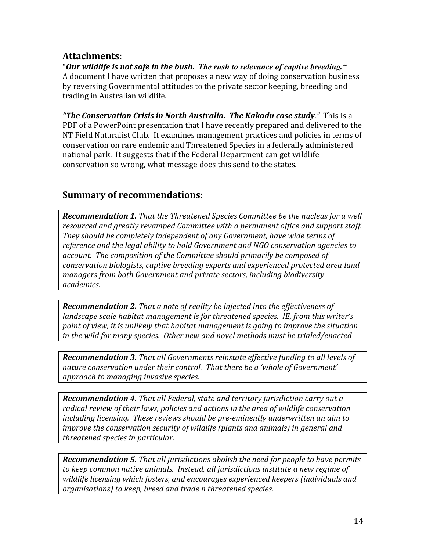# **Attachments:**

**"***Our wildlife is not safe in the bush. The rush to relevance of captive breeding."* A document I have written that proposes a new way of doing conservation business by reversing Governmental attitudes to the private sector keeping, breeding and trading in Australian wildlife.

*"The Conservation Crisis in North Australia. The Kakadu case study."* This is a PDF of a PowerPoint presentation that I have recently prepared and delivered to the NT Field Naturalist Club. It examines management practices and policies in terms of conservation on rare endemic and Threatened Species in a federally administered national park. It suggests that if the Federal Department can get wildlife conservation so wrong, what message does this send to the states.

# **Summary of recommendations:**

*Recommendation 1. That the Threatened Species Committee be the nucleus for a well resourced and greatly revamped Committee with a permanent office and support staff. They should be completely independent of any Government, have wide terms of reference and the legal ability to hold Government and NGO conservation agencies to account. The composition of the Committee should primarily be composed of conservation biologists, captive breeding experts and experienced protected area land managers from both Government and private sectors, including biodiversity academics.*

*Recommendation 2. That a note of reality be injected into the effectiveness of landscape scale habitat management is for threatened species. IE, from this writer's point of view, it is unlikely that habitat management is going to improve the situation in the wild for many species. Other new and novel methods must be trialed/enacted*

*Recommendation 3. That all Governments reinstate effective funding to all levels of nature conservation under their control. That there be a 'whole of Government' approach to managing invasive species.*

*Recommendation 4. That all Federal, state and territory jurisdiction carry out a radical review of their laws, policies and actions in the area of wildlife conservation including licensing. These reviews should be pre-eminently underwritten an aim to improve the conservation security of wildlife (plants and animals) in general and threatened species in particular.*

*Recommendation 5. That all jurisdictions abolish the need for people to have permits to keep common native animals. Instead, all jurisdictions institute a new regime of wildlife licensing which fosters, and encourages experienced keepers (individuals and organisations) to keep, breed and trade n threatened species.*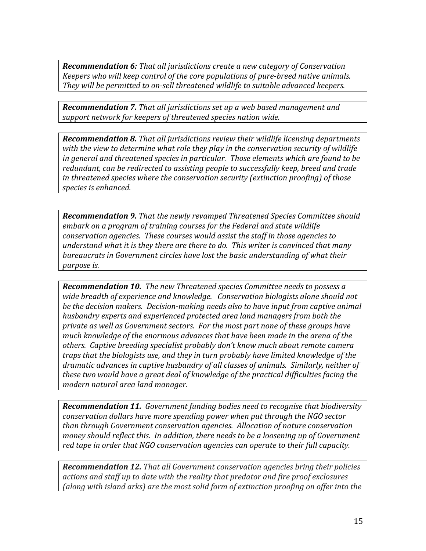*Recommendation 6: That all jurisdictions create a new category of Conservation Keepers who will keep control of the core populations of pure-breed native animals. They will be permitted to on-sell threatened wildlife to suitable advanced keepers.*

*Recommendation 7. That all jurisdictions set up a web based management and support network for keepers of threatened species nation wide.*

*Recommendation 8. That all jurisdictions review their wildlife licensing departments with the view to determine what role they play in the conservation security of wildlife in general and threatened species in particular. Those elements which are found to be redundant, can be redirected to assisting people to successfully keep, breed and trade in threatened species where the conservation security (extinction proofing) of those species is enhanced.*

*Recommendation 9. That the newly revamped Threatened Species Committee should embark on a program of training courses for the Federal and state wildlife conservation agencies. These courses would assist the staff in those agencies to understand what it is they there are there to do. This writer is convinced that many bureaucrats in Government circles have lost the basic understanding of what their purpose is.*

*Recommendation 10. The new Threatened species Committee needs to possess a wide breadth of experience and knowledge. Conservation biologists alone should not be the decision makers. Decision-making needs also to have input from captive animal husbandry experts and experienced protected area land managers from both the private as well as Government sectors. For the most part none of these groups have much knowledge of the enormous advances that have been made in the arena of the others. Captive breeding specialist probably don't know much about remote camera traps that the biologists use, and they in turn probably have limited knowledge of the dramatic advances in captive husbandry of all classes of animals. Similarly, neither of these two would have a great deal of knowledge of the practical difficulties facing the modern natural area land manager.* 

*Recommendation 11. Government funding bodies need to recognise that biodiversity conservation dollars have more spending power when put through the NGO sector than through Government conservation agencies. Allocation of nature conservation money should reflect this. In addition, there needs to be a loosening up of Government red tape in order that NGO conservation agencies can operate to their full capacity.*

*Recommendation 12. That all Government conservation agencies bring their policies actions and staff up to date with the reality that predator and fire proof exclosures (along with island arks) are the most solid form of extinction proofing on offer into the*